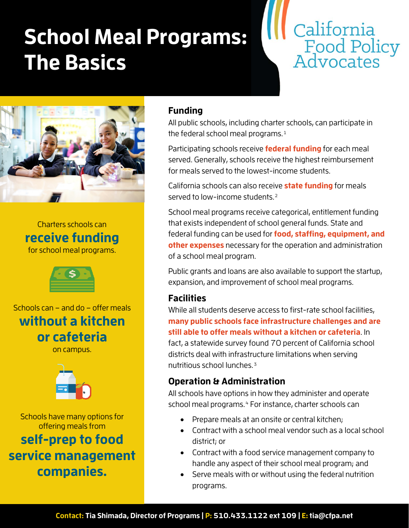# **School Meal Programs: The Basics**



<span id="page-0-2"></span><span id="page-0-1"></span><span id="page-0-0"></span>

<span id="page-0-3"></span>Charters schools can **receive funding** for school meal programs.



Schools can – and do – offer meals **without a kitchen or cafeteria**

on campus.



Schools have many options for offering meals from **self-prep to food service management companies.**

### **Funding**

All public schools, including charter schools, can participate in the federal school meal programs.<sup>[1](#page-0-0)</sup>

Participating schools receive **federal funding** for each meal served. Generally, schools receive the highest reimbursement for meals served to the lowest-income students.

California schools can also receive **state funding** for meals served to low-income students.<sup>[2](#page-0-1)</sup>

School meal programs receive categorical, entitlement funding that exists independent of school general funds. State and federal funding can be used for **food, staffing, equipment, and other expenses** necessary for the operation and administration of a school meal program.

Public grants and loans are also available to support the startup, expansion, and improvement of school meal programs.

#### **Facilities**

While all students deserve access to first-rate school facilities, **many public schools face infrastructure challenges and are still able to offer meals without a kitchen or cafeteria**. In fact, a statewide survey found 70 percent of California school districts deal with infrastructure limitations when serving nutritious school lunches.[3](#page-0-2)

#### **Operation & Administration**

All schools have options in how they administer and operate school meal programs.<sup>[4](#page-0-3)</sup> For instance, charter schools can

- Prepare meals at an onsite or central kitchen;
- Contract with a school meal vendor such as a local school district; or
- Contract with a food service management company to handle any aspect of their school meal program; and
- Serve meals with or without using the federal nutrition programs.